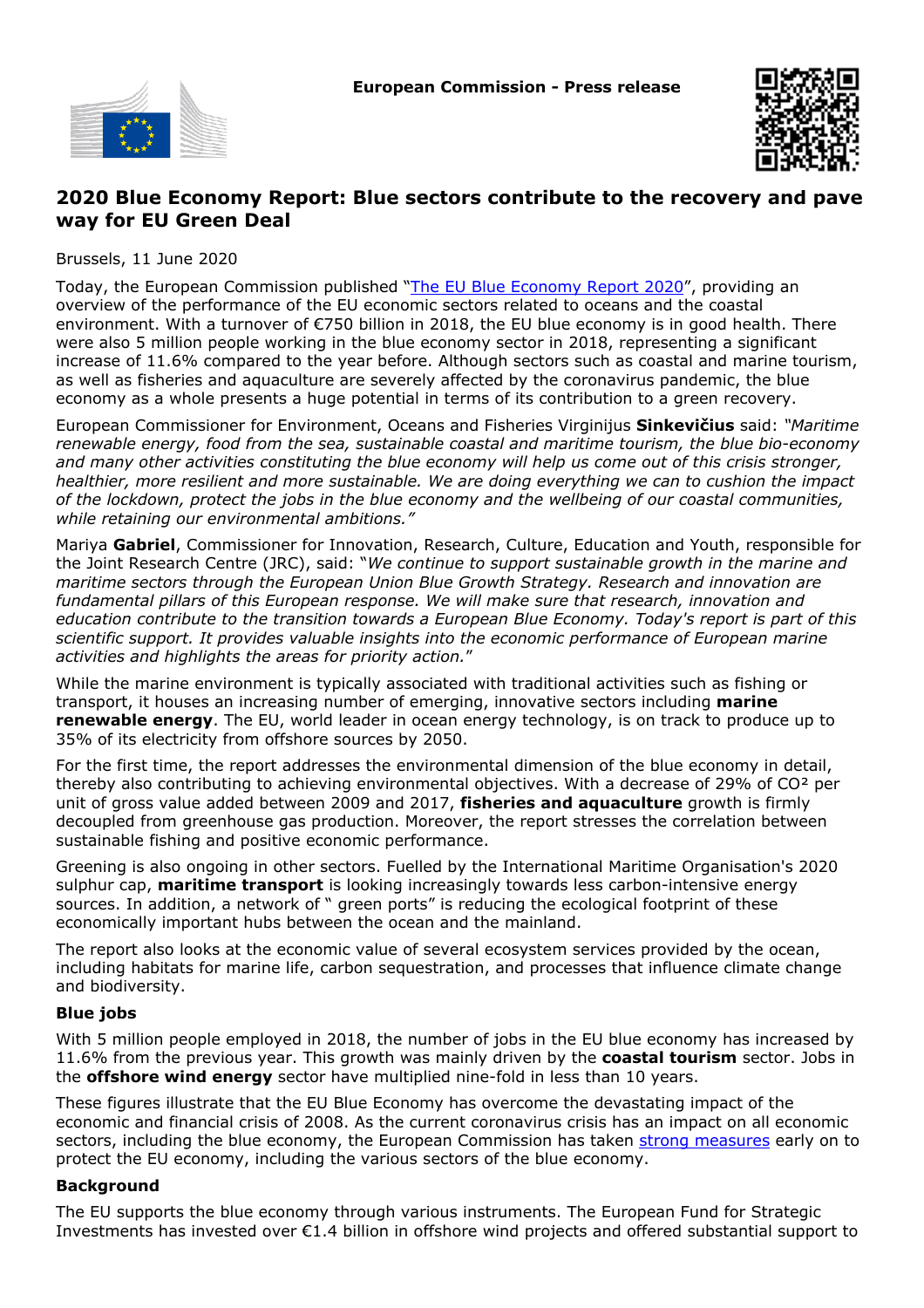



## **2020 Blue Economy Report: Blue sectors contribute to the recovery and pave way for EU Green Deal**

Brussels, 11 June 2020

Today, the European Commission published ["The EU Blue Economy Report 2020](https://blueindicators.ec.europa.eu/)", providing an overview of the performance of the EU economic sectors related to oceans and the coastal environment. With a turnover of €750 billion in 2018, the EU blue economy is in good health. There were also 5 million people working in the blue economy sector in 2018, representing a significant increase of 11.6% compared to the year before. Although sectors such as coastal and marine tourism, as well as fisheries and aquaculture are severely affected by the coronavirus pandemic, the blue economy as a whole presents a huge potential in terms of its contribution to a green recovery.

European Commissioner for Environment, Oceans and Fisheries Virginijus **Sinkevičius** said: *"Maritime renewable energy, food from the sea, sustainable coastal and maritime tourism, the blue bio-economy and many other activities constituting the blue economy will help us come out of this crisis stronger, healthier, more resilient and more sustainable. We are doing everything we can to cushion the impact of the lockdown, protect the jobs in the blue economy and the wellbeing of our coastal communities, while retaining our environmental ambitions."*

Mariya **Gabriel**, Commissioner for Innovation, Research, Culture, Education and Youth, responsible for the Joint Research Centre (JRC), said: "*We continue to support sustainable growth in the marine and maritime sectors through the European Union Blue Growth Strategy. Research and innovation are fundamental pillars of this European response. We will make sure that research, innovation and education contribute to the transition towards a European Blue Economy. Today's report is part of this scientific support. It provides valuable insights into the economic performance of European marine activities and highlights the areas for priority action.*"

While the marine environment is typically associated with traditional activities such as fishing or transport, it houses an increasing number of emerging, innovative sectors including **marine renewable energy**. The EU, world leader in ocean energy technology, is on track to produce up to 35% of its electricity from offshore sources by 2050.

For the first time, the report addresses the environmental dimension of the blue economy in detail, thereby also contributing to achieving environmental objectives. With a decrease of 29% of CO² per unit of gross value added between 2009 and 2017, **fisheries and aquaculture** growth is firmly decoupled from greenhouse gas production. Moreover, the report stresses the correlation between sustainable fishing and positive economic performance.

Greening is also ongoing in other sectors. Fuelled by the International Maritime Organisation's 2020 sulphur cap, **maritime transport** is looking increasingly towards less carbon-intensive energy sources. In addition, a network of " green ports" is reducing the ecological footprint of these economically important hubs between the ocean and the mainland.

The report also looks at the economic value of several ecosystem services provided by the ocean, including habitats for marine life, carbon sequestration, and processes that influence climate change and biodiversity.

## **Blue jobs**

With 5 million people employed in 2018, the number of jobs in the EU blue economy has increased by 11.6% from the previous year. This growth was mainly driven by the **coastal tourism** sector. Jobs in the **offshore wind energy** sector have multiplied nine-fold in less than 10 years.

These figures illustrate that the EU Blue Economy has overcome the devastating impact of the economic and financial crisis of 2008. As the current coronavirus crisis has an impact on all economic sectors, including the blue economy, the European Commission has taken [strong measures](https://ec.europa.eu/fisheries/coronavirus-response-fisheries-and-aquaculture_en) early on to protect the EU economy, including the various sectors of the blue economy.

## **Background**

The EU supports the blue economy through various instruments. The European Fund for Strategic Investments has invested over €1.4 billion in offshore wind projects and offered substantial support to